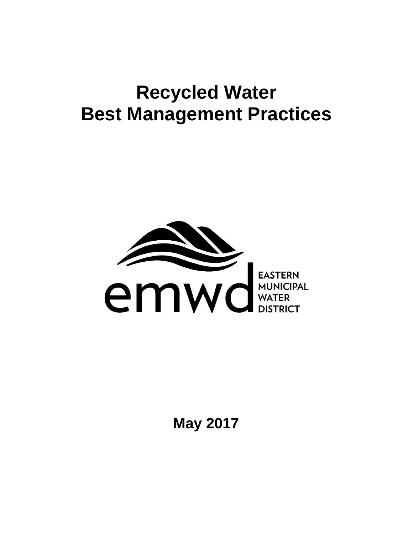# **Recycled Water Best Management Practices**



**May 2017**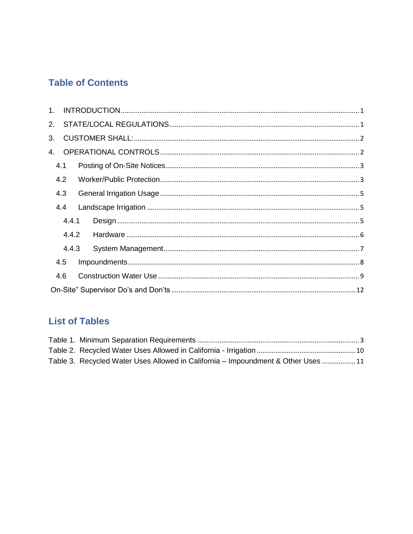## **Table of Contents**

| $1_{-}$ |       |  |
|---------|-------|--|
| 2.      |       |  |
| 3.      |       |  |
| 4.      |       |  |
| 4.1     |       |  |
| 4.2     |       |  |
| 4.3     |       |  |
| 4.4     |       |  |
|         | 4.4.1 |  |
|         | 4.4.2 |  |
|         | 4.4.3 |  |
| 4.5     |       |  |
| 4.6     |       |  |
|         |       |  |

## **List of Tables**

| Table 3. Recycled Water Uses Allowed in California – Impoundment & Other Uses  11 |  |
|-----------------------------------------------------------------------------------|--|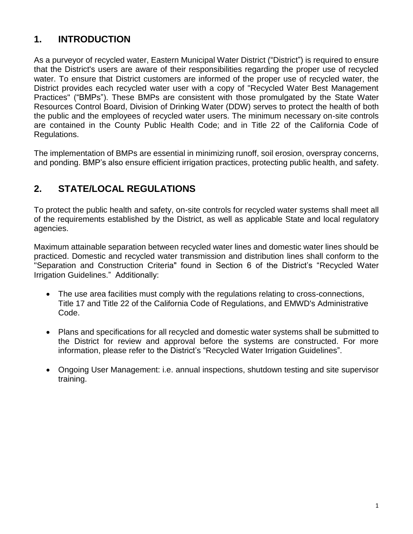## <span id="page-2-0"></span>**1. INTRODUCTION**

As a purveyor of recycled water, Eastern Municipal Water District ("District") is required to ensure that the District's users are aware of their responsibilities regarding the proper use of recycled water. To ensure that District customers are informed of the proper use of recycled water, the District provides each recycled water user with a copy of "Recycled Water Best Management Practices" ("BMPs"). These BMPs are consistent with those promulgated by the State Water Resources Control Board, Division of Drinking Water (DDW) serves to protect the health of both the public and the employees of recycled water users. The minimum necessary on-site controls are contained in the County Public Health Code; and in Title 22 of the California Code of Regulations.

The implementation of BMPs are essential in minimizing runoff, soil erosion, overspray concerns, and ponding. BMP's also ensure efficient irrigation practices, protecting public health, and safety.

## <span id="page-2-1"></span>**2. STATE/LOCAL REGULATIONS**

To protect the public health and safety, on-site controls for recycled water systems shall meet all of the requirements established by the District, as well as applicable State and local regulatory agencies.

Maximum attainable separation between recycled water lines and domestic water lines should be practiced. Domestic and recycled water transmission and distribution lines shall conform to the "Separation and Construction Criteria" found in Section 6 of the District's "Recycled Water Irrigation Guidelines." Additionally:

- The use area facilities must comply with the regulations relating to cross-connections, Title 17 and Title 22 of the California Code of Regulations, and EMWD's Administrative Code.
- Plans and specifications for all recycled and domestic water systems shall be submitted to the District for review and approval before the systems are constructed. For more information, please refer to the District's "Recycled Water Irrigation Guidelines".
- Ongoing User Management: i.e. annual inspections, shutdown testing and site supervisor training.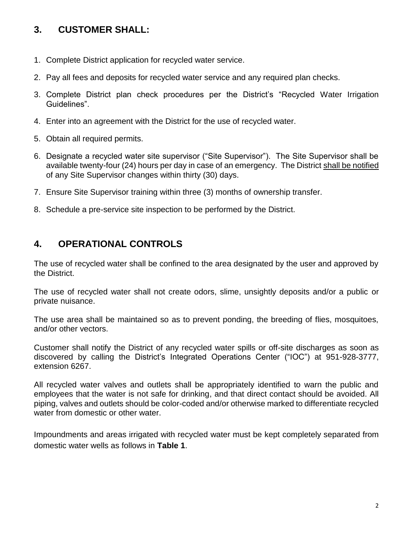## <span id="page-3-0"></span>**3. CUSTOMER SHALL:**

- 1. Complete District application for recycled water service.
- 2. Pay all fees and deposits for recycled water service and any required plan checks.
- 3. Complete District plan check procedures per the District's "Recycled Water Irrigation Guidelines".
- 4. Enter into an agreement with the District for the use of recycled water.
- 5. Obtain all required permits.
- 6. Designate a recycled water site supervisor ("Site Supervisor"). The Site Supervisor shall be available twenty-four (24) hours per day in case of an emergency. The District shall be notified of any Site Supervisor changes within thirty (30) days.
- 7. Ensure Site Supervisor training within three (3) months of ownership transfer.
- 8. Schedule a pre-service site inspection to be performed by the District.

## <span id="page-3-1"></span>**4. OPERATIONAL CONTROLS**

The use of recycled water shall be confined to the area designated by the user and approved by the District.

The use of recycled water shall not create odors, slime, unsightly deposits and/or a public or private nuisance.

The use area shall be maintained so as to prevent ponding, the breeding of flies, mosquitoes, and/or other vectors.

Customer shall notify the District of any recycled water spills or off-site discharges as soon as discovered by calling the District's Integrated Operations Center ("IOC") at 951-928-3777, extension 6267.

All recycled water valves and outlets shall be appropriately identified to warn the public and employees that the water is not safe for drinking, and that direct contact should be avoided. All piping, valves and outlets should be color-coded and/or otherwise marked to differentiate recycled water from domestic or other water.

Impoundments and areas irrigated with recycled water must be kept completely separated from domestic water wells as follows in **Table 1**.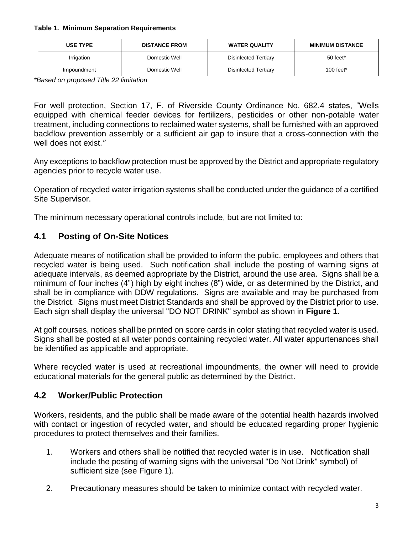#### <span id="page-4-2"></span>**Table 1. Minimum Separation Requirements**

| <b>USE TYPE</b> | <b>DISTANCE FROM</b> | <b>WATER QUALITY</b> | <b>MINIMUM DISTANCE</b> |
|-----------------|----------------------|----------------------|-------------------------|
| Irrigation      | Domestic Well        | Disinfected Tertiary | 50 feet*                |
| Impoundment     | Domestic Well        | Disinfected Tertiary | 100 feet*               |

*\*Based on proposed Title 22 limitation*

For well protection, Section 17, F. of Riverside County Ordinance No. 682.4 states, "Wells equipped with chemical feeder devices for fertilizers, pesticides or other non-potable water treatment, including connections to reclaimed water systems, shall be furnished with an approved backflow prevention assembly or a sufficient air gap to insure that a cross-connection with the well does not exist.*"*

Any exceptions to backflow protection must be approved by the District and appropriate regulatory agencies prior to recycle water use.

Operation of recycled water irrigation systems shall be conducted under the guidance of a certified Site Supervisor.

The minimum necessary operational controls include, but are not limited to:

#### <span id="page-4-0"></span>**4.1 Posting of On-Site Notices**

Adequate means of notification shall be provided to inform the public, employees and others that recycled water is being used. Such notification shall include the posting of warning signs at adequate intervals, as deemed appropriate by the District, around the use area. Signs shall be a minimum of four inches (4") high by eight inches (8") wide, or as determined by the District, and shall be in compliance with DDW regulations. Signs are available and may be purchased from the District. Signs must meet District Standards and shall be approved by the District prior to use. Each sign shall display the universal "DO NOT DRINK" symbol as shown in **Figure 1**.

At golf courses, notices shall be printed on score cards in color stating that recycled water is used. Signs shall be posted at all water ponds containing recycled water. All water appurtenances shall be identified as applicable and appropriate.

Where recycled water is used at recreational impoundments, the owner will need to provide educational materials for the general public as determined by the District.

#### <span id="page-4-1"></span>**4.2 Worker/Public Protection**

Workers, residents, and the public shall be made aware of the potential health hazards involved with contact or ingestion of recycled water, and should be educated regarding proper hygienic procedures to protect themselves and their families.

- 1. Workers and others shall be notified that recycled water is in use. Notification shall include the posting of warning signs with the universal "Do Not Drink" symbol) of sufficient size (see Figure 1).
- 2. Precautionary measures should be taken to minimize contact with recycled water.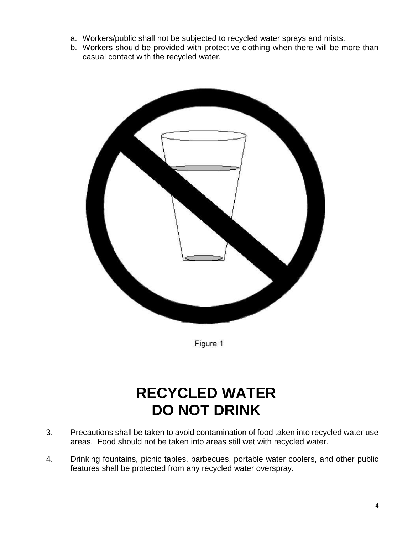- a. Workers/public shall not be subjected to recycled water sprays and mists.
- b. Workers should be provided with protective clothing when there will be more than casual contact with the recycled water.



Figure 1

## **RECYCLED WATER DO NOT DRINK**

- 3. Precautions shall be taken to avoid contamination of food taken into recycled water use areas. Food should not be taken into areas still wet with recycled water.
- 4. Drinking fountains, picnic tables, barbecues, portable water coolers, and other public features shall be protected from any recycled water overspray.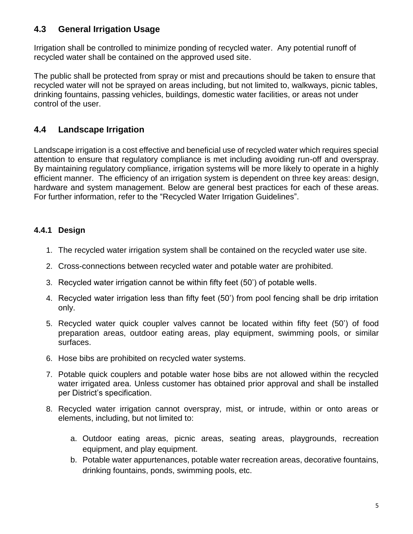#### <span id="page-6-0"></span>**4.3 General Irrigation Usage**

Irrigation shall be controlled to minimize ponding of recycled water. Any potential runoff of recycled water shall be contained on the approved used site.

The public shall be protected from spray or mist and precautions should be taken to ensure that recycled water will not be sprayed on areas including, but not limited to, walkways, picnic tables, drinking fountains, passing vehicles, buildings, domestic water facilities, or areas not under control of the user.

#### <span id="page-6-1"></span>**4.4 Landscape Irrigation**

Landscape irrigation is a cost effective and beneficial use of recycled water which requires special attention to ensure that regulatory compliance is met including avoiding run-off and overspray. By maintaining regulatory compliance, irrigation systems will be more likely to operate in a highly efficient manner. The efficiency of an irrigation system is dependent on three key areas: design, hardware and system management. Below are general best practices for each of these areas. For further information, refer to the "Recycled Water Irrigation Guidelines".

#### <span id="page-6-2"></span>**4.4.1 Design**

- 1. The recycled water irrigation system shall be contained on the recycled water use site.
- 2. Cross-connections between recycled water and potable water are prohibited.
- 3. Recycled water irrigation cannot be within fifty feet (50') of potable wells.
- 4. Recycled water irrigation less than fifty feet (50') from pool fencing shall be drip irritation only.
- 5. Recycled water quick coupler valves cannot be located within fifty feet (50') of food preparation areas, outdoor eating areas, play equipment, swimming pools, or similar surfaces.
- 6. Hose bibs are prohibited on recycled water systems.
- 7. Potable quick couplers and potable water hose bibs are not allowed within the recycled water irrigated area. Unless customer has obtained prior approval and shall be installed per District's specification.
- 8. Recycled water irrigation cannot overspray, mist, or intrude, within or onto areas or elements, including, but not limited to:
	- a. Outdoor eating areas, picnic areas, seating areas, playgrounds, recreation equipment, and play equipment.
	- b. Potable water appurtenances, potable water recreation areas, decorative fountains, drinking fountains, ponds, swimming pools, etc.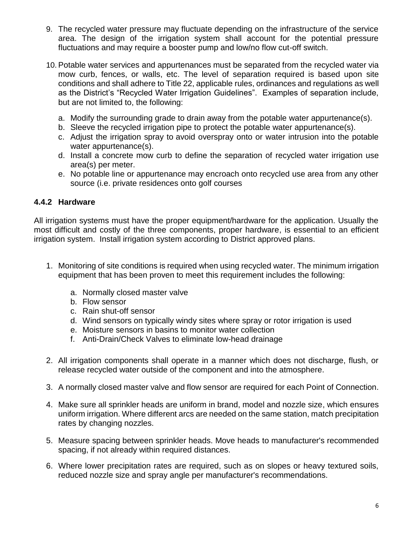- 9. The recycled water pressure may fluctuate depending on the infrastructure of the service area. The design of the irrigation system shall account for the potential pressure fluctuations and may require a booster pump and low/no flow cut-off switch.
- 10. Potable water services and appurtenances must be separated from the recycled water via mow curb, fences, or walls, etc. The level of separation required is based upon site conditions and shall adhere to Title 22, applicable rules, ordinances and regulations as well as the District's "Recycled Water Irrigation Guidelines". Examples of separation include, but are not limited to, the following:
	- a. Modify the surrounding grade to drain away from the potable water appurtenance(s).
	- b. Sleeve the recycled irrigation pipe to protect the potable water appurtenance(s).
	- c. Adjust the irrigation spray to avoid overspray onto or water intrusion into the potable water appurtenance(s).
	- d. Install a concrete mow curb to define the separation of recycled water irrigation use area(s) per meter.
	- e. No potable line or appurtenance may encroach onto recycled use area from any other source (i.e. private residences onto golf courses

#### <span id="page-7-0"></span>**4.4.2 Hardware**

All irrigation systems must have the proper equipment/hardware for the application. Usually the most difficult and costly of the three components, proper hardware, is essential to an efficient irrigation system. Install irrigation system according to District approved plans.

- 1. Monitoring of site conditions is required when using recycled water. The minimum irrigation equipment that has been proven to meet this requirement includes the following:
	- a. Normally closed master valve
	- b. Flow sensor
	- c. Rain shut-off sensor
	- d. Wind sensors on typically windy sites where spray or rotor irrigation is used
	- e. Moisture sensors in basins to monitor water collection
	- f. Anti-Drain/Check Valves to eliminate low-head drainage
- 2. All irrigation components shall operate in a manner which does not discharge, flush, or release recycled water outside of the component and into the atmosphere.
- 3. A normally closed master valve and flow sensor are required for each Point of Connection.
- 4. Make sure all sprinkler heads are uniform in brand, model and nozzle size, which ensures uniform irrigation. Where different arcs are needed on the same station, match precipitation rates by changing nozzles.
- 5. Measure spacing between sprinkler heads. Move heads to manufacturer's recommended spacing, if not already within required distances.
- 6. Where lower precipitation rates are required, such as on slopes or heavy textured soils, reduced nozzle size and spray angle per manufacturer's recommendations.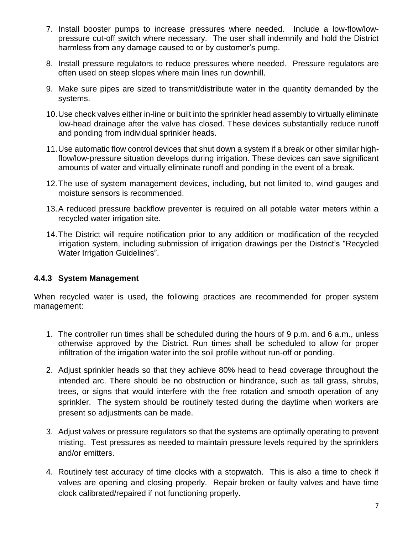- 7. Install booster pumps to increase pressures where needed. Include a low-flow/lowpressure cut-off switch where necessary. The user shall indemnify and hold the District harmless from any damage caused to or by customer's pump.
- 8. Install pressure regulators to reduce pressures where needed. Pressure regulators are often used on steep slopes where main lines run downhill.
- 9. Make sure pipes are sized to transmit/distribute water in the quantity demanded by the systems.
- 10.Use check valves either in-line or built into the sprinkler head assembly to virtually eliminate low-head drainage after the valve has closed. These devices substantially reduce runoff and ponding from individual sprinkler heads.
- 11.Use automatic flow control devices that shut down a system if a break or other similar highflow/low-pressure situation develops during irrigation. These devices can save significant amounts of water and virtually eliminate runoff and ponding in the event of a break.
- 12.The use of system management devices, including, but not limited to, wind gauges and moisture sensors is recommended.
- 13.A reduced pressure backflow preventer is required on all potable water meters within a recycled water irrigation site.
- 14.The District will require notification prior to any addition or modification of the recycled irrigation system, including submission of irrigation drawings per the District's "Recycled Water Irrigation Guidelines".

#### <span id="page-8-0"></span>**4.4.3 System Management**

When recycled water is used, the following practices are recommended for proper system management:

- 1. The controller run times shall be scheduled during the hours of 9 p.m. and 6 a.m., unless otherwise approved by the District. Run times shall be scheduled to allow for proper infiltration of the irrigation water into the soil profile without run-off or ponding.
- 2. Adjust sprinkler heads so that they achieve 80% head to head coverage throughout the intended arc. There should be no obstruction or hindrance, such as tall grass, shrubs, trees, or signs that would interfere with the free rotation and smooth operation of any sprinkler. The system should be routinely tested during the daytime when workers are present so adjustments can be made.
- 3. Adjust valves or pressure regulators so that the systems are optimally operating to prevent misting. Test pressures as needed to maintain pressure levels required by the sprinklers and/or emitters.
- 4. Routinely test accuracy of time clocks with a stopwatch. This is also a time to check if valves are opening and closing properly. Repair broken or faulty valves and have time clock calibrated/repaired if not functioning properly.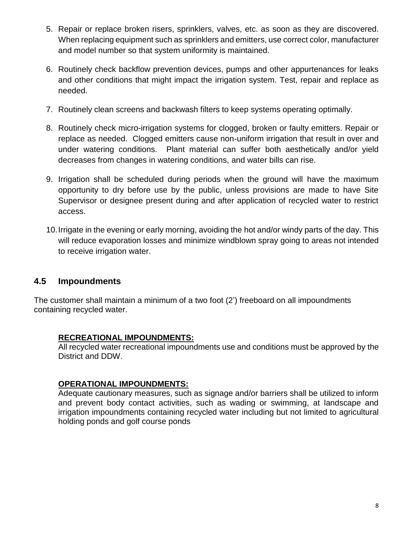- 5. Repair or replace broken risers, sprinklers, valves, etc. as soon as they are discovered. When replacing equipment such as sprinklers and emitters, use correct color, manufacturer and model number so that system uniformity is maintained.
- 6. Routinely check backflow prevention devices, pumps and other appurtenances for leaks and other conditions that might impact the irrigation system. Test, repair and replace as needed.
- 7. Routinely clean screens and backwash filters to keep systems operating optimally.
- 8. Routinely check micro-irrigation systems for clogged, broken or faulty emitters. Repair or replace as needed. Clogged emitters cause non-uniform irrigation that result in over and under watering conditions. Plant material can suffer both aesthetically and/or yield decreases from changes in watering conditions, and water bills can rise.
- 9. Irrigation shall be scheduled during periods when the ground will have the maximum opportunity to dry before use by the public, unless provisions are made to have Site Supervisor or designee present during and after application of recycled water to restrict access.
- 10.Irrigate in the evening or early morning, avoiding the hot and/or windy parts of the day. This will reduce evaporation losses and minimize windblown spray going to areas not intended to receive irrigation water.

#### <span id="page-9-0"></span>**4.5 Impoundments**

The customer shall maintain a minimum of a two foot (2') freeboard on all impoundments containing recycled water.

#### **RECREATIONAL IMPOUNDMENTS:**

All recycled water recreational impoundments use and conditions must be approved by the District and DDW.

#### **OPERATIONAL IMPOUNDMENTS:**

Adequate cautionary measures, such as signage and/or barriers shall be utilized to inform and prevent body contact activities, such as wading or swimming, at landscape and irrigation impoundments containing recycled water including but not limited to agricultural holding ponds and golf course ponds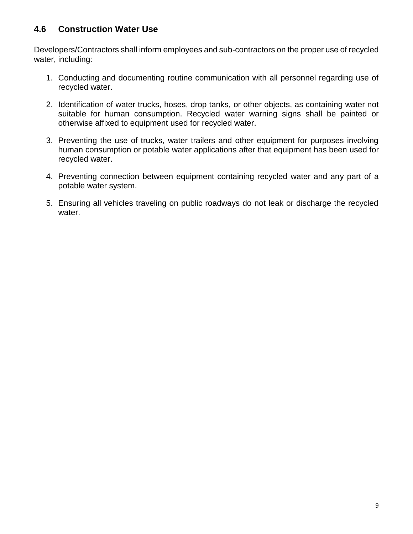#### <span id="page-10-0"></span>**4.6 Construction Water Use**

Developers/Contractors shall inform employees and sub-contractors on the proper use of recycled water, including:

- 1. Conducting and documenting routine communication with all personnel regarding use of recycled water.
- 2. Identification of water trucks, hoses, drop tanks, or other objects, as containing water not suitable for human consumption. Recycled water warning signs shall be painted or otherwise affixed to equipment used for recycled water.
- 3. Preventing the use of trucks, water trailers and other equipment for purposes involving human consumption or potable water applications after that equipment has been used for recycled water.
- 4. Preventing connection between equipment containing recycled water and any part of a potable water system.
- 5. Ensuring all vehicles traveling on public roadways do not leak or discharge the recycled water.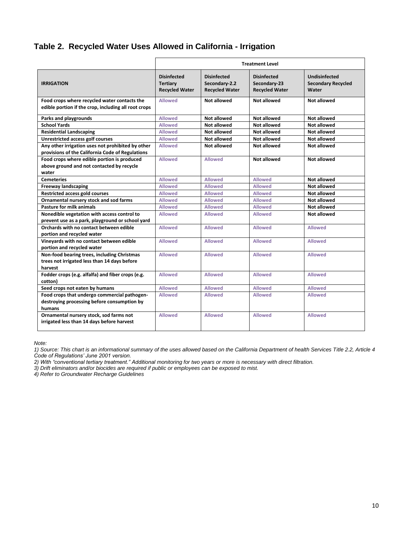#### <span id="page-11-0"></span>**Table 2. Recycled Water Uses Allowed in California - Irrigation**

|                                                      | <b>Treatment Level</b>                                         |                                                              |                                                             |                                                            |
|------------------------------------------------------|----------------------------------------------------------------|--------------------------------------------------------------|-------------------------------------------------------------|------------------------------------------------------------|
| <b>IRRIGATION</b>                                    | <b>Disinfected</b><br><b>Tertiary</b><br><b>Recycled Water</b> | <b>Disinfected</b><br>Secondary-2.2<br><b>Recycled Water</b> | <b>Disinfected</b><br>Secondary-23<br><b>Recycled Water</b> | <b>Undisinfected</b><br><b>Secondary Recycled</b><br>Water |
| Food crops where recycled water contacts the         | <b>Allowed</b>                                                 | Not allowed                                                  | Not allowed                                                 | Not allowed                                                |
| edible portion if the crop, including all root crops |                                                                |                                                              |                                                             |                                                            |
| Parks and playgrounds                                | <b>Allowed</b>                                                 | Not allowed                                                  | Not allowed                                                 | Not allowed                                                |
| <b>School Yards</b>                                  | <b>Allowed</b>                                                 | Not allowed                                                  | Not allowed                                                 | Not allowed                                                |
| <b>Residential Landscaping</b>                       | <b>Allowed</b>                                                 | Not allowed                                                  | Not allowed                                                 | Not allowed                                                |
| <b>Unrestricted access golf courses</b>              | <b>Allowed</b>                                                 | Not allowed                                                  | Not allowed                                                 | Not allowed                                                |
| Any other irrigation uses not prohibited by other    | <b>Allowed</b>                                                 | Not allowed                                                  | Not allowed                                                 | Not allowed                                                |
| provisions of the California Code of Regulations     |                                                                |                                                              |                                                             |                                                            |
| Food crops where edible portion is produced          | <b>Allowed</b>                                                 | <b>Allowed</b>                                               | Not allowed                                                 | <b>Not allowed</b>                                         |
| above ground and not contacted by recycle            |                                                                |                                                              |                                                             |                                                            |
| water                                                |                                                                |                                                              |                                                             |                                                            |
| <b>Cemeteries</b>                                    | <b>Allowed</b>                                                 | <b>Allowed</b>                                               | <b>Allowed</b>                                              | <b>Not allowed</b>                                         |
| <b>Freeway landscaping</b>                           | <b>Allowed</b>                                                 | <b>Allowed</b>                                               | <b>Allowed</b>                                              | Not allowed                                                |
| <b>Restricted access gold courses</b>                | <b>Allowed</b>                                                 | <b>Allowed</b>                                               | <b>Allowed</b>                                              | <b>Not allowed</b>                                         |
| Ornamental nursery stock and sod farms               | <b>Allowed</b>                                                 | <b>Allowed</b>                                               | <b>Allowed</b>                                              | Not allowed                                                |
| <b>Pasture for milk animals</b>                      | <b>Allowed</b>                                                 | <b>Allowed</b>                                               | <b>Allowed</b>                                              | Not allowed                                                |
| Nonedible vegetation with access control to          | <b>Allowed</b>                                                 | <b>Allowed</b>                                               | <b>Allowed</b>                                              | Not allowed                                                |
| prevent use as a park, playground or school yard     |                                                                |                                                              |                                                             |                                                            |
| Orchards with no contact between edible              | <b>Allowed</b>                                                 | <b>Allowed</b>                                               | <b>Allowed</b>                                              | <b>Allowed</b>                                             |
| portion and recycled water                           |                                                                |                                                              |                                                             |                                                            |
| Vineyards with no contact between edible             | <b>Allowed</b>                                                 | <b>Allowed</b>                                               | <b>Allowed</b>                                              | <b>Allowed</b>                                             |
| portion and recycled water                           |                                                                |                                                              |                                                             |                                                            |
| Non-food bearing trees, including Christmas          | <b>Allowed</b>                                                 | <b>Allowed</b>                                               | <b>Allowed</b>                                              | <b>Allowed</b>                                             |
| trees not irrigated less than 14 days before         |                                                                |                                                              |                                                             |                                                            |
| harvest                                              |                                                                |                                                              |                                                             |                                                            |
| Fodder crops (e.g. alfalfa) and fiber crops (e.g.    | <b>Allowed</b>                                                 | <b>Allowed</b>                                               | <b>Allowed</b>                                              | <b>Allowed</b>                                             |
| cotton)                                              |                                                                |                                                              |                                                             |                                                            |
| Seed crops not eaten by humans                       | <b>Allowed</b>                                                 | <b>Allowed</b>                                               | <b>Allowed</b>                                              | <b>Allowed</b>                                             |
| Food crops that undergo commercial pathogen-         | <b>Allowed</b>                                                 | <b>Allowed</b>                                               | <b>Allowed</b>                                              | <b>Allowed</b>                                             |
| destroying processing before consumption by          |                                                                |                                                              |                                                             |                                                            |
| humans                                               |                                                                |                                                              |                                                             |                                                            |
| Ornamental nursery stock, sod farms not              | <b>Allowed</b>                                                 | <b>Allowed</b>                                               | <b>Allowed</b>                                              | <b>Allowed</b>                                             |
| irrigated less than 14 days before harvest           |                                                                |                                                              |                                                             |                                                            |
|                                                      |                                                                |                                                              |                                                             |                                                            |

*Note:*

*2) With "conventional tertiary treatment." Additional monitoring for two years or more is necessary with direct filtration.*

*3) Drift eliminators and/or biocides are required if public or employees can be exposed to mist.*

*4) Refer to Groundwater Recharge Guidelines*

*<sup>1)</sup> Source: This chart is an informational summary of the uses allowed based on the California Department of health Services Title 2.2, Article 4 Code of Regulations' June 2001 version.*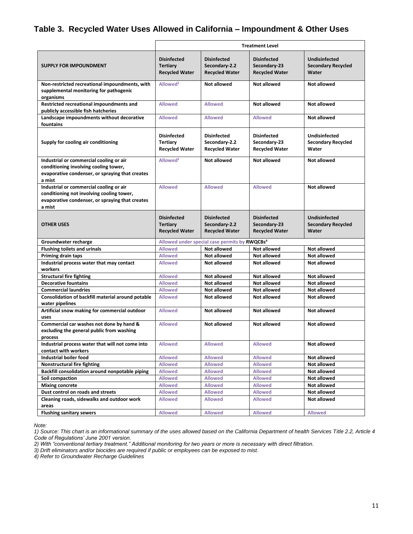#### <span id="page-12-0"></span>**Table 3. Recycled Water Uses Allowed in California – Impoundment & Other Uses**

|                                                                                                                                                   | <b>Treatment Level</b>                                         |                                                              |                                                             |                                                            |
|---------------------------------------------------------------------------------------------------------------------------------------------------|----------------------------------------------------------------|--------------------------------------------------------------|-------------------------------------------------------------|------------------------------------------------------------|
| <b>SUPPLY FOR IMPOUNDMENT</b>                                                                                                                     | <b>Disinfected</b><br><b>Tertiary</b><br><b>Recycled Water</b> | <b>Disinfected</b><br>Secondary-2.2<br><b>Recycled Water</b> | <b>Disinfected</b><br>Secondary-23<br><b>Recycled Water</b> | <b>Undisinfected</b><br><b>Secondary Recycled</b><br>Water |
| Non-restricted recreational impoundments, with<br>supplemental monitoring for pathogenic<br>organisms                                             | Allowed <sup>2</sup>                                           | <b>Not allowed</b>                                           | <b>Not allowed</b>                                          | Not allowed                                                |
| Restricted recreational impoundments and<br>publicly accessible fish hatcheries                                                                   | <b>Allowed</b>                                                 | <b>Allowed</b>                                               | Not allowed                                                 | Not allowed                                                |
| Landscape impoundments without decorative<br>fountains                                                                                            | <b>Allowed</b>                                                 | <b>Allowed</b>                                               | <b>Allowed</b>                                              | <b>Not allowed</b>                                         |
| Supply for cooling air conditioning                                                                                                               | <b>Disinfected</b><br>Tertiary<br><b>Recycled Water</b>        | <b>Disinfected</b><br>Secondary-2.2<br><b>Recycled Water</b> | <b>Disinfected</b><br>Secondary-23<br><b>Recycled Water</b> | <b>Undisinfected</b><br><b>Secondary Recycled</b><br>Water |
| Industrial or commercial cooling or air<br>conditioning involving cooling tower,<br>evaporative condenser, or spraying that creates<br>a mist     | Allowed <sup>3</sup>                                           | <b>Not allowed</b>                                           | <b>Not allowed</b>                                          | <b>Not allowed</b>                                         |
| Industrial or commercial cooling or air<br>conditioning not involving cooling tower,<br>evaporative condenser, or spraying that creates<br>a mist | <b>Allowed</b>                                                 | <b>Allowed</b>                                               | <b>Allowed</b>                                              | Not allowed                                                |
| <b>OTHER USES</b>                                                                                                                                 | <b>Disinfected</b><br><b>Tertiary</b><br><b>Recycled Water</b> | <b>Disinfected</b><br>Secondary-2.2<br><b>Recycled Water</b> | <b>Disinfected</b><br>Secondary-23<br><b>Recycled Water</b> | <b>Undisinfected</b><br><b>Secondary Recycled</b><br>Water |
| Groundwater recharge                                                                                                                              |                                                                | Allowed under special case permits by RWQCBs <sup>4</sup>    |                                                             |                                                            |
| <b>Flushing toilets and urinals</b>                                                                                                               | <b>Allowed</b>                                                 | Not allowed                                                  | <b>Not allowed</b>                                          | <b>Not allowed</b>                                         |
| <b>Priming drain taps</b>                                                                                                                         | <b>Allowed</b>                                                 | <b>Not allowed</b>                                           | <b>Not allowed</b>                                          | <b>Not allowed</b>                                         |
| Industrial process water that may contact<br>workers                                                                                              | <b>Allowed</b>                                                 | <b>Not allowed</b>                                           | <b>Not allowed</b>                                          | <b>Not allowed</b>                                         |
| <b>Structural fire fighting</b>                                                                                                                   | <b>Allowed</b>                                                 | <b>Not allowed</b>                                           | <b>Not allowed</b>                                          | <b>Not allowed</b>                                         |
| <b>Decorative fountains</b>                                                                                                                       | <b>Allowed</b>                                                 | <b>Not allowed</b>                                           | <b>Not allowed</b>                                          | <b>Not allowed</b>                                         |
| <b>Commercial laundries</b>                                                                                                                       | <b>Allowed</b>                                                 | <b>Not allowed</b>                                           | <b>Not allowed</b>                                          | <b>Not allowed</b>                                         |
| Consolidation of backfill material around potable<br>water pipelines                                                                              | <b>Allowed</b>                                                 | Not allowed                                                  | <b>Not allowed</b>                                          | <b>Not allowed</b>                                         |
| Artificial snow making for commercial outdoor<br>uses                                                                                             | <b>Allowed</b>                                                 | Not allowed                                                  | Not allowed                                                 | Not allowed                                                |
| Commercial car washes not done by hand &<br>excluding the general public from washing<br>process                                                  | <b>Allowed</b>                                                 | <b>Not allowed</b>                                           | <b>Not allowed</b>                                          | <b>Not allowed</b>                                         |
| Industrial process water that will not come into<br>contact with workers                                                                          | <b>Allowed</b>                                                 | <b>Allowed</b>                                               | <b>Allowed</b>                                              | Not allowed                                                |
| Industrial boiler food                                                                                                                            | <b>Allowed</b>                                                 | <b>Allowed</b>                                               | <b>Allowed</b>                                              | <b>Not allowed</b>                                         |
| Nonstructural fire fighting                                                                                                                       | <b>Allowed</b>                                                 | <b>Allowed</b>                                               | <b>Allowed</b>                                              | Not allowed                                                |
| Backfill consolidation around nonpotable piping                                                                                                   | <b>Allowed</b>                                                 | <b>Allowed</b>                                               | <b>Allowed</b>                                              | Not allowed                                                |
| Soil compaction                                                                                                                                   | <b>Allowed</b>                                                 | <b>Allowed</b>                                               | <b>Allowed</b>                                              | Not allowed                                                |
| <b>Mixing concrete</b>                                                                                                                            | <b>Allowed</b>                                                 | <b>Allowed</b>                                               | <b>Allowed</b>                                              | <b>Not allowed</b>                                         |
| Dust control on roads and streets                                                                                                                 | <b>Allowed</b>                                                 | <b>Allowed</b>                                               | <b>Allowed</b>                                              | <b>Not allowed</b>                                         |
| Cleaning roads, sidewalks and outdoor work                                                                                                        | <b>Allowed</b>                                                 | <b>Allowed</b>                                               | <b>Allowed</b>                                              | Not allowed                                                |
| areas<br><b>Flushing sanitary sewers</b>                                                                                                          | <b>Allowed</b>                                                 | <b>Allowed</b>                                               | <b>Allowed</b>                                              | <b>Allowed</b>                                             |

*Note:*

*1) Source: This chart is an informational summary of the uses allowed based on the California Department of health Services Title 2.2, Article 4 Code of Regulations' June 2001 version.*

*2) With "conventional tertiary treatment." Additional monitoring for two years or more is necessary with direct filtration.*

*3) Drift eliminators and/or biocides are required if public or employees can be exposed to mist.*

*4) Refer to Groundwater Recharge Guidelines*